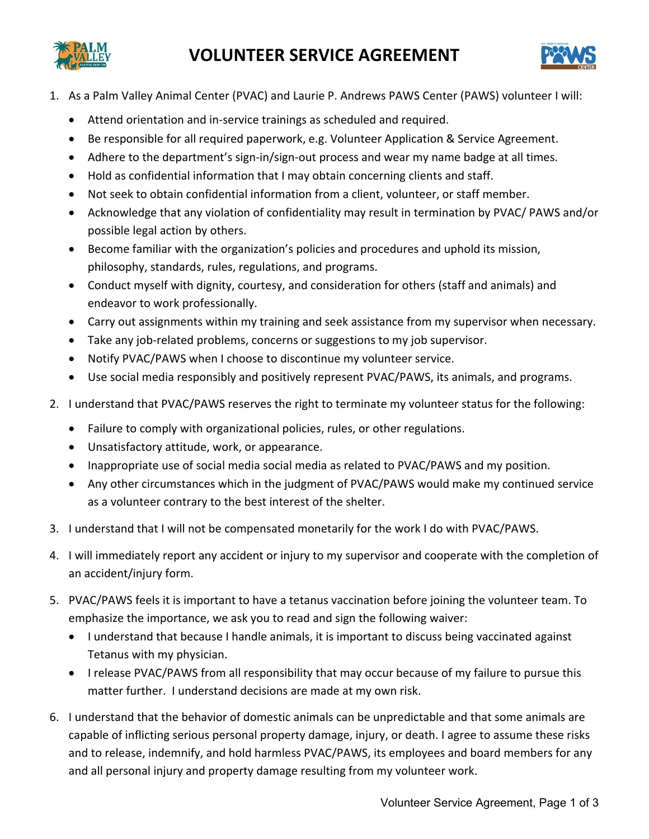



- 1. As a Palm Valley Animal Center (PVAC) and Laurie P. Andrews PAWS Center (PAWS) volunteer I will:
	- Attend orientation and in-service trainings as scheduled and required.
	- Be responsible for all required paperwork, e.g. Volunteer Application & Service Agreement.
	- Adhere to the department's sign-in/sign-out process and wear my name badge at all times.
	- Hold as confidential information that I may obtain concerning clients and staff.
	- Not seek to obtain confidential information from a client, volunteer, or staff member.
	- Acknowledge that any violation of confidentiality may result in termination by PVAC/ PAWS and/or possible legal action by others.
	- Become familiar with the organization's policies and procedures and uphold its mission, philosophy, standards, rules, regulations, and programs.
	- Conduct myself with dignity, courtesy, and consideration for others (staff and animals) and endeavor to work professionally.
	- Carry out assignments within my training and seek assistance from my supervisor when necessary.
	- Take any job-related problems, concerns or suggestions to my job supervisor.
	- Notify PVAC/PAWS when I choose to discontinue my volunteer service.
	- Use social media responsibly and positively represent PVAC/PAWS, its animals, and programs.
- 2. I understand that PVAC/PAWS reserves the right to terminate my volunteer status for the following:
	- Failure to comply with organizational policies, rules, or other regulations.
	- Unsatisfactory attitude, work, or appearance.
	- Inappropriate use of social media social media as related to PVAC/PAWS and my position.
	- Any other circumstances which in the judgment of PVAC/PAWS would make my continued service as a volunteer contrary to the best interest of the shelter.
- 3. I understand that I will not be compensated monetarily for the work I do with PVAC/PAWS.
- 4. I will immediately report any accident or injury to my supervisor and cooperate with the completion of an accident/injury form.
- 5. PVAC/PAWS feels it is important to have a tetanus vaccination before joining the volunteer team. To emphasize the importance, we ask you to read and sign the following waiver:
	- I understand that because I handle animals, it is important to discuss being vaccinated against Tetanus with my physician.
	- I release PVAC/PAWS from all responsibility that may occur because of my failure to pursue this matter further. I understand decisions are made at my own risk.
- 6. I understand that the behavior of domestic animals can be unpredictable and that some animals are capable of inflicting serious personal property damage, injury, or death. I agree to assume these risks and to release, indemnify, and hold harmless PVAC/PAWS, its employees and board members for any and all personal injury and property damage resulting from my volunteer work.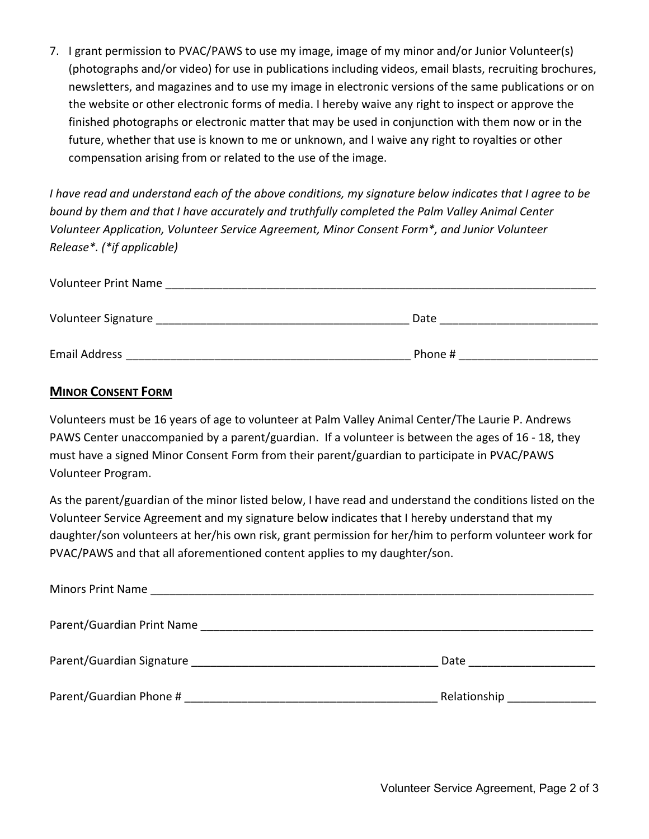7. I grant permission to PVAC/PAWS to use my image, image of my minor and/or Junior Volunteer(s) (photographs and/or video) for use in publications including videos, email blasts, recruiting brochures, newsletters, and magazines and to use my image in electronic versions of the same publications or on the website or other electronic forms of media. I hereby waive any right to inspect or approve the finished photographs or electronic matter that may be used in conjunction with them now or in the future, whether that use is known to me or unknown, and I waive any right to royalties or other compensation arising from or related to the use of the image.

*I have read and understand each of the above conditions, my signature below indicates that I agree to be bound by them and that I have accurately and truthfully completed the Palm Valley Animal Center Volunteer Application, Volunteer Service Agreement, Minor Consent Form\*, and Junior Volunteer Release\*. (\*if applicable)* 

| <b>Volunteer Print Name</b> |         |
|-----------------------------|---------|
| Volunteer Signature         | Date    |
| <b>Email Address</b>        | Phone # |

## **MINOR CONSENT FORM**

Volunteers must be 16 years of age to volunteer at Palm Valley Animal Center/The Laurie P. Andrews PAWS Center unaccompanied by a parent/guardian. If a volunteer is between the ages of 16 ‐ 18, they must have a signed Minor Consent Form from their parent/guardian to participate in PVAC/PAWS Volunteer Program.

As the parent/guardian of the minor listed below, I have read and understand the conditions listed on the Volunteer Service Agreement and my signature below indicates that I hereby understand that my daughter/son volunteers at her/his own risk, grant permission for her/him to perform volunteer work for PVAC/PAWS and that all aforementioned content applies to my daughter/son.

|                         | Date <u>_____________</u>     |
|-------------------------|-------------------------------|
| Parent/Guardian Phone # | Relationship ________________ |